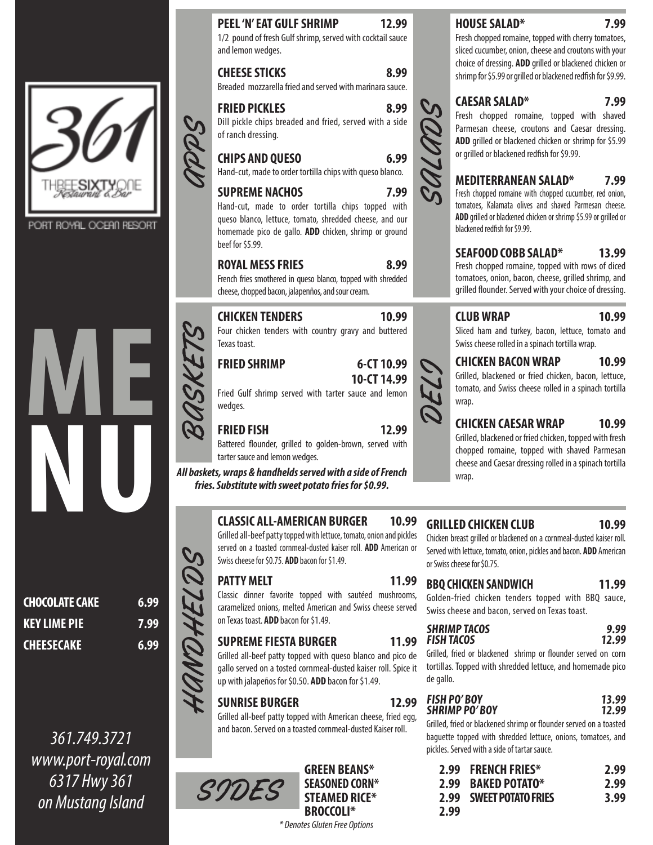

PORT ROYAL OCEAN RESORT



| <b>CHOCOLATE CAKE</b> | 6.99 |
|-----------------------|------|
| <b>KEY LIME PIE</b>   | 7.99 |
| <b>CHEESECAKE</b>     | 6.99 |

361.749.3721 www.port-royal.com 6317 Hwy 361 on Mustang Island

## **PEEL 'N' EAT GULF SHRIMP 12.99**

1/2 pound of fresh Gulf shrimp, served with cocktail sauce and lemon wedges.

**CHEESE STICKS 8.99**

Breaded mozzarella fried and served with marinara sauce.

APPS **FRIED PICKLES 8.99** Dill pickle chips breaded and fried, served with a side

of ranch dressing.

**CHIPS AND QUESO 6.99** Hand-cut, made to order tortilla chips with queso blanco.

#### **SUPREME NACHOS 7.99**

Hand-cut, made to order tortilla chips topped with queso blanco, lettuce, tomato, shredded cheese, and our homemade pico de gallo. **ADD** chicken, shrimp or ground beef for \$5.99.

#### ROYAL MESS FRIES 8.99

French fries smothered in queso blanco, topped with shredded cheese, chopped bacon, jalapenños, and sour cream.

#### **CHICKEN TENDERS 10.99**

Four chicken tenders with country gravy and buttered Texas toast.

#### **FRIED SHRIMP 6-CT 10.99**

## **10-CT 14.99**

Fried Gulf shrimp served with tarter sauce and lemon wedges. BASKETS

## **FRIED FISH 12.99**

Battered flounder, grilled to golden-brown, served with tarter sauce and lemon wedges.

**All baskets, wraps & handhelds served with a side of French fries. Substitute with sweet potato fries for \$0.99.**

#### **CLASSIC ALL-AMERICAN BURGER 10.99**

Grilled all-beef patty topped with lettuce, tomato, onion and pickles served on a toasted cornmeal-dusted kaiser roll. **ADD** American or Swiss cheese for \$0.75. **ADD** bacon for \$1.49.

#### **PATTY MELT** 11.99

HANDHELDS

Classic dinner favorite topped with sautéed mushrooms, caramelized onions, melted American and Swiss cheese served on Texas toast. **ADD** bacon for \$1.49.

## **SUPREME FIESTA BURGER 11.99**

Grilled all-beef patty topped with queso blanco and pico de gallo served on a tosted cornmeal-dusted kaiser roll. Spice it up with jalapeños for \$0.50. **ADD** bacon for \$1.49.

## **SUNRISE BURGER 12.99**

Grilled all-beef patty topped with American cheese, fried egg, and bacon. Served on a toasted cornmeal-dusted Kaiser roll.



GREEN BEANS\* **SEASONED CORN\* STEAMED RICE\* BROCCOLI\* 2.99**

#### \* Denotes Gluten Free Options

#### **HOUSE SALAD\* 7.99**

Fresh chopped romaine, topped with cherry tomatoes, sliced cucumber, onion, cheese and croutons with your choice of dressing. **ADD** grilled or blackened chicken or shrimp for \$5.99 or grilled or blackened redfish for \$9.99.

#### **CAESAR SALAD\* 7.99**

Fresh chopped romaine, topped with shaved Parmesan cheese, croutons and Caesar dressing. **ADD** grilled or blackened chicken or shrimp for \$5.99 or grilled or blackened redfish for \$9.99.

#### **MEDITERRANEAN SALAD\* 7.99**

Fresh chopped romaine with chopped cucumber, red onion, tomatoes, Kalamata olives and shaved Parmesan cheese. **ADD** grilled or blackened chicken or shrimp \$5.99 or grilled or blackened redfish for \$9.99.

#### **SEAFOOD COBB SALAD\* 13.99**

Fresh chopped romaine, topped with rows of diced tomatoes, onion, bacon, cheese, grilled shrimp, and grilled flounder. Served with your choice of dressing.

## **CLUB WRAP 10.99**

Sliced ham and turkey, bacon, lettuce, tomato and Swiss cheese rolled in a spinach tortilla wrap.

#### **CHICKEN BACON WRAP 10.99**

Grilled, blackened or fried chicken, bacon, lettuce, tomato, and Swiss cheese rolled in a spinach tortilla wrap.

#### **CHICKEN CAESAR WRAP 10.99**

Grilled, blackened or fried chicken, topped with fresh chopped romaine, topped with shaved Parmesan cheese and Caesar dressing rolled in a spinach tortilla wrap.

#### **GRILLED CHICKEN CLUB 10.99**

Chicken breast grilled or blackened on a cornmeal-dusted kaiser roll. Served with lettuce, tomato, onion, pickles and bacon. **ADD** American or Swiss cheese for \$0.75.

#### **BBQ CHICKEN SANDWICH 11.99**

Golden-fried chicken tenders topped with BBQ sauce, Swiss cheese and bacon, served on Texas toast.

#### **SHRIMP TACOS 9.99 FISH TACOS 12.99**

Grilled, fried or blackened shrimp or flounder served on corn tortillas. Topped with shredded lettuce, and homemade pico de gallo.

| <b>FISH PO'BOY</b>   | 13.99 |
|----------------------|-------|
| <b>SHRIMP PO'BOY</b> | 12.99 |
|                      |       |

Grilled, fried or blackened shrimp or flounder served on a toasted baguette topped with shredded lettuce, onions, tomatoes, and pickles. Served with a side of tartar sauce.

|      | 2.99 FRENCH FRIES*      | 2.99 |
|------|-------------------------|------|
|      | 2.99 BAKED POTATO*      | 2.99 |
|      | 2.99 SWEET POTATO FRIES | 3.99 |
| 2.99 |                         |      |